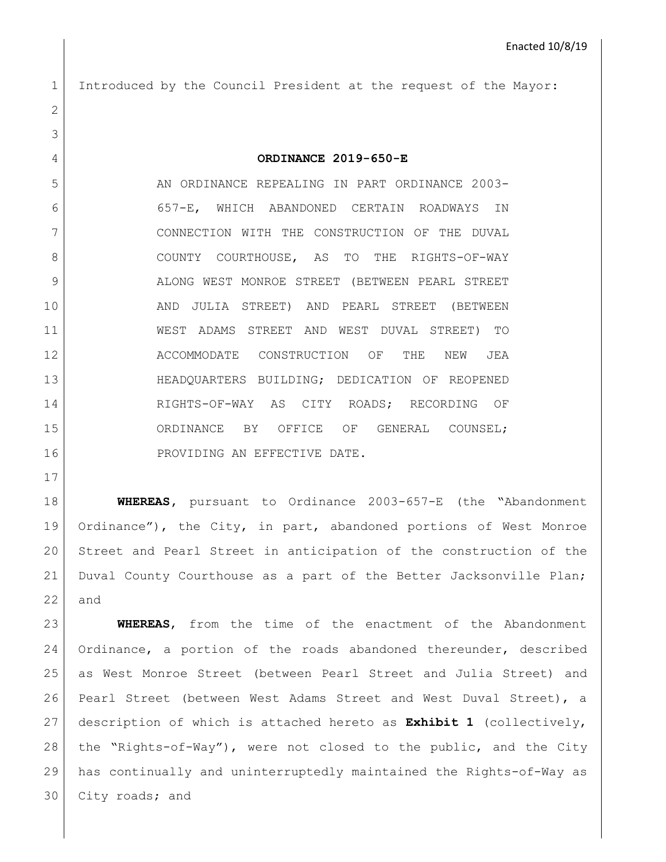Introduced by the Council President at the request of the Mayor: **ORDINANCE 2019-650-E** 5 AN ORDINANCE REPEALING IN PART ORDINANCE 2003- 657-E, WHICH ABANDONED CERTAIN ROADWAYS IN CONNECTION WITH THE CONSTRUCTION OF THE DUVAL 8 COUNTY COURTHOUSE, AS TO THE RIGHTS-OF-WAY 9 ALONG WEST MONROE STREET (BETWEEN PEARL STREET AND JULIA STREET) AND PEARL STREET (BETWEEN WEST ADAMS STREET AND WEST DUVAL STREET) TO 12 ACCOMMODATE CONSTRUCTION OF THE NEW JEA HEADQUARTERS BUILDING; DEDICATION OF REOPENED 14 RIGHTS-OF-WAY AS CITY ROADS; RECORDING OF 15 | ORDINANCE BY OFFICE OF GENERAL COUNSEL; 16 PROVIDING AN EFFECTIVE DATE.

 **WHEREAS,** pursuant to Ordinance 2003-657-E (the "Abandonment Ordinance"), the City, in part, abandoned portions of West Monroe Street and Pearl Street in anticipation of the construction of the Duval County Courthouse as a part of the Better Jacksonville Plan; and

 **WHEREAS**, from the time of the enactment of the Abandonment 24 | Ordinance, a portion of the roads abandoned thereunder, described as West Monroe Street (between Pearl Street and Julia Street) and Pearl Street (between West Adams Street and West Duval Street), a description of which is attached hereto as **Exhibit 1** (collectively, the "Rights-of-Way"), were not closed to the public, and the City has continually and uninterruptedly maintained the Rights-of-Way as 30 City roads; and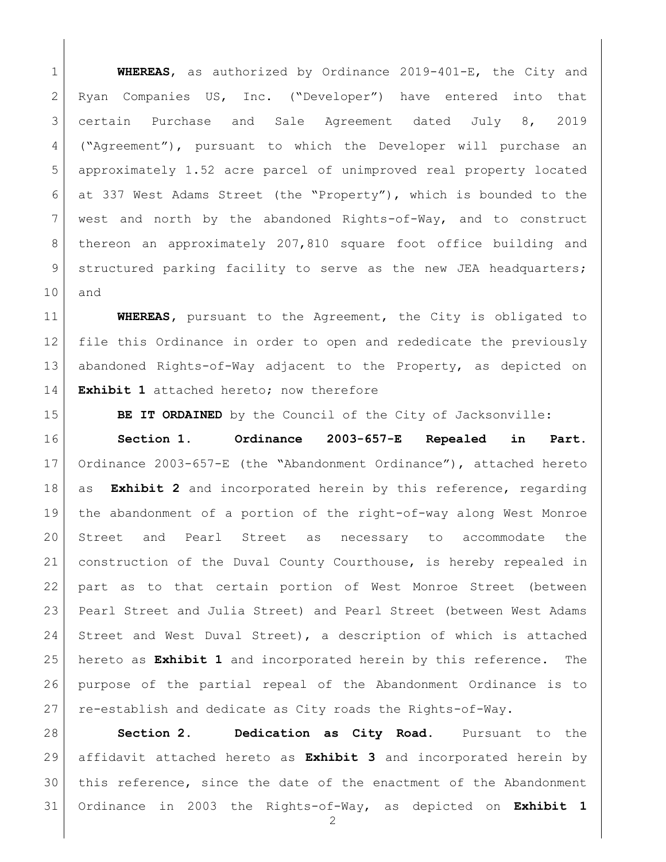**WHEREAS**, as authorized by Ordinance 2019-401-E, the City and Ryan Companies US, Inc. ("Developer") have entered into that certain Purchase and Sale Agreement dated July 8, 2019 ("Agreement"), pursuant to which the Developer will purchase an approximately 1.52 acre parcel of unimproved real property located at 337 West Adams Street (the "Property"), which is bounded to the west and north by the abandoned Rights-of-Way, and to construct thereon an approximately 207,810 square foot office building and 9 structured parking facility to serve as the new JEA headquarters; and

 **WHEREAS,** pursuant to the Agreement, the City is obligated to file this Ordinance in order to open and rededicate the previously abandoned Rights-of-Way adjacent to the Property, as depicted on **Exhibit 1** attached hereto; now therefore

**BE IT ORDAINED** by the Council of the City of Jacksonville:

 **Section 1. Ordinance 2003-657-E Repealed in Part.** Ordinance 2003-657-E (the "Abandonment Ordinance"), attached hereto as **Exhibit 2** and incorporated herein by this reference, regarding the abandonment of a portion of the right-of-way along West Monroe Street and Pearl Street as necessary to accommodate the construction of the Duval County Courthouse, is hereby repealed in part as to that certain portion of West Monroe Street (between Pearl Street and Julia Street) and Pearl Street (between West Adams Street and West Duval Street), a description of which is attached hereto as **Exhibit 1** and incorporated herein by this reference. The purpose of the partial repeal of the Abandonment Ordinance is to re-establish and dedicate as City roads the Rights-of-Way.

 **Section 2. Dedication as City Road.** Pursuant to the affidavit attached hereto as **Exhibit 3** and incorporated herein by this reference, since the date of the enactment of the Abandonment Ordinance in 2003 the Rights-of-Way, as depicted on **Exhibit 1**

 $\mathcal{D}$